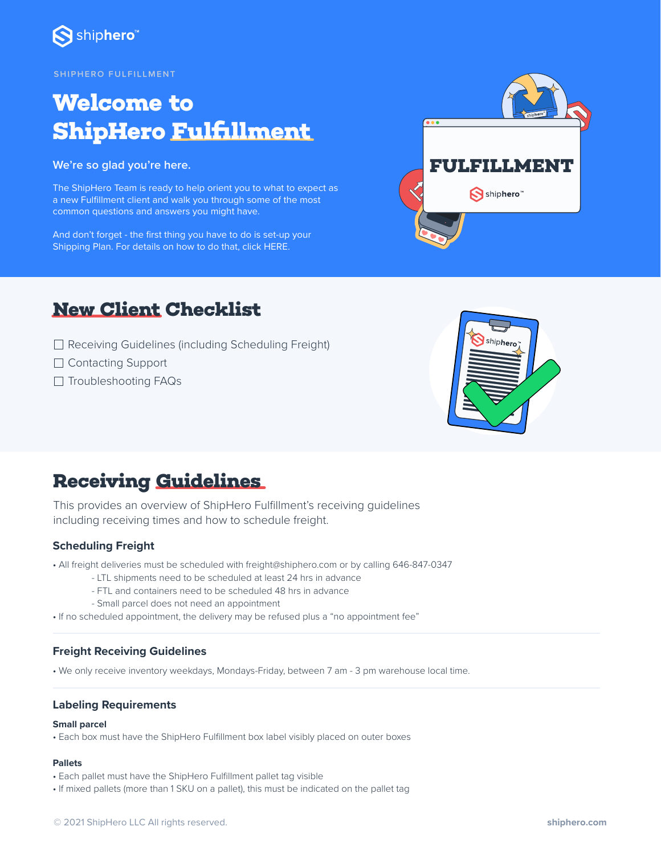

#### **SHIPHERO FULFI L LMENT**

# **Welcome to ShipHero Fulfillment**

**We're so glad you're here.**

The ShipHero Team is ready to help orient you to what to expect as a new Fulfillment client and walk you through some of the most common questions and answers you might have.

And don't forget - the first thing you have to do is set-up your Shipping Plan. For details on how to do that, clic[k HERE.](https://fulfillment-help.shiphero.com/hc/en-us/articles/4420035655309-How-do-I-create-a-shipping-plan-)



## **New Client Checklist**

- □ Receiving Guidelines (including Scheduling Freight)
- □ Contacting Support
- □ Troubleshooting FAQs



## **Receiving Guidelines**

This provides an overview of ShipHero Fulfillment's receiving guidelines including receiving times and how to schedule freight.

### **Scheduling Freight**

- All freight deliveries must be scheduled with freight@shiphero.com or by calling 646-847-0347
	- LTL shipments need to be scheduled at least 24 hrs in advance
	- FTL and containers need to be scheduled 48 hrs in advance
	- Small parcel does not need an appointment
- If no scheduled appointment, the delivery may be refused plus a "no appointment fee"

### **Freight Receiving Guidelines**

• We only receive inventory weekdays, Mondays-Friday, between 7 am - 3 pm warehouse local time.

### **Labeling Requirements**

#### **Small parcel**

• Each box must have the ShipHero Fulfillment box label visibly placed on outer boxes

### **Pallets**

- Each pallet must have the ShipHero Fulfillment pallet tag visible
- If mixed pallets (more than 1 SKU on a pallet), this must be indicated on the pallet tag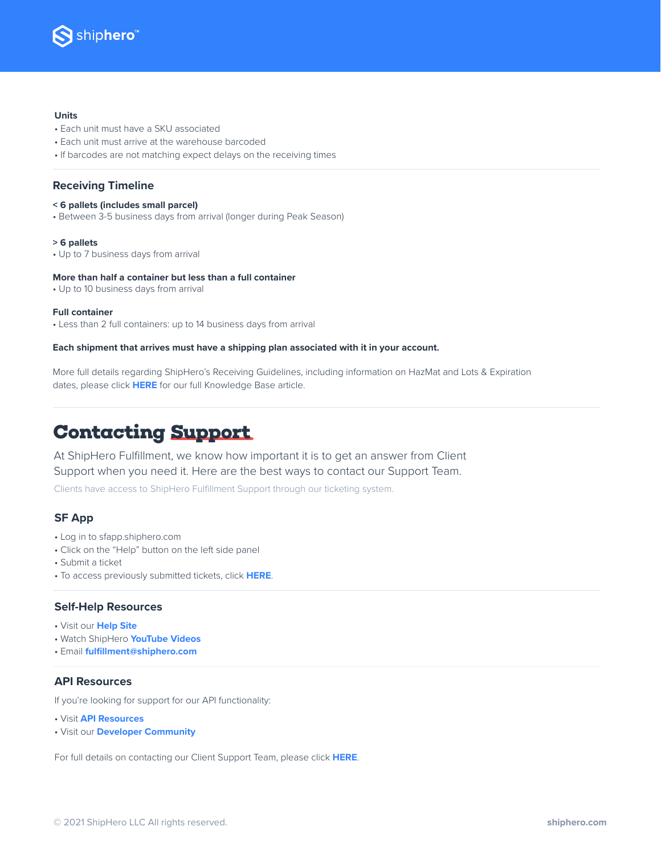

#### **Units**

- Each unit must have a SKU associated
- Each unit must arrive at the warehouse barcoded
- If barcodes are not matching expect delays on the receiving times

### **Receiving Timeline**

- **< 6 pallets (includes small parcel)**
- Between 3-5 business days from arrival (longer during Peak Season)

#### **> 6 pallets**

• Up to 7 business days from arrival

#### **More than half a container but less than a full container**

• Up to 10 business days from arrival

#### **Full container**

• Less than 2 full containers: up to 14 business days from arrival

#### **Each shipment that arrives must have a shipping plan associated with it in your account.**

More full details regarding ShipHero's Receiving Guidelines, including information on HazMat and Lots & Expiration dates, please click **[HERE](https://fulfillment-help.shiphero.com/hc/en-us/articles/4420021568781-Receiving-Guidelines)** for our full Knowledge Base article.

## **Contacting Support**

At ShipHero Fulfillment, we know how important it is to get an answer from Client Support when you need it. Here are the best ways to contact our Support Team.

Clients have access to ShipHero Fulfillment Support through our ticketing system.

## **SF App**

- Log in to sfapp.shiphero.com
- Click on the "Help" button on the left side panel
- Submit a ticket
- To access previously submitted tickets, click **[HERE](https://fulfillment-help.shiphero.com/hc/en-us/articles/4423214054157-How-can-I-access-my-ticket-history-)**.

#### **Self-Help Resources**

- Visit our **[Help Site](https://fulfillment-help.shiphero.com/hc/en-us)**
- Watch ShipHero **[YouTube Videos](https://www.youtube.com/c/ShipHero)**
- Email **[fulfillment@shiphero.com](mailto:fulfillment@shiphero.com)**

## **API Resources**

If you're looking for support for our API functionality:

- Visit **[API Resources](https://developer.shiphero.com/fulfillment/)**
- Visit our **[Developer Community](https://community.shiphero.com/)**

For full details on contacting our Client Support Team, please click **[HERE](https://fulfillment-help.shiphero.com/hc/en-us/articles/4420021668749-ShipHero-Fulfillment-Support-Overview)**.